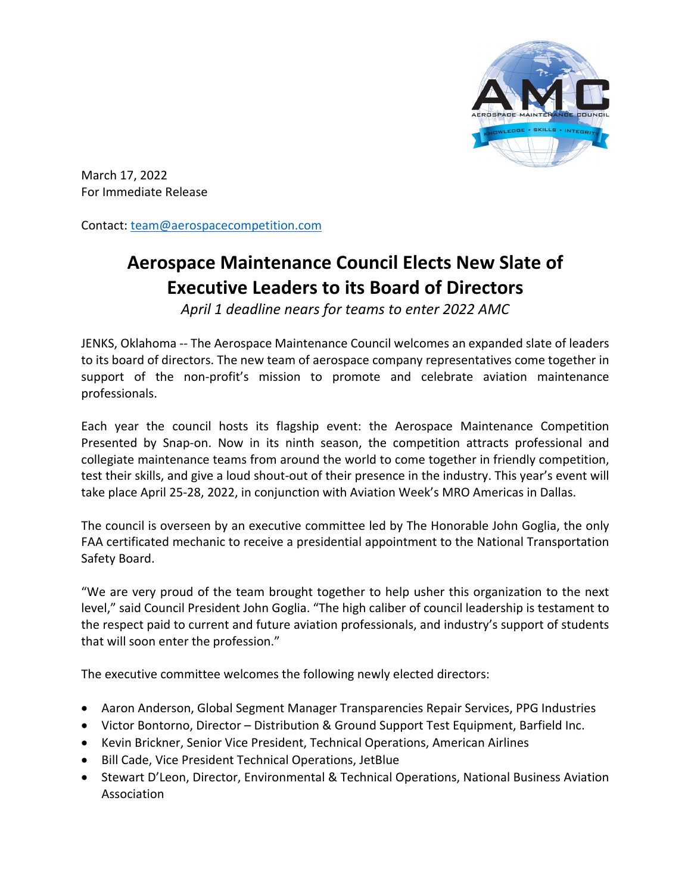

March 17, 2022 For Immediate Release

Contact: [team@aerospacecompetition.com](mailto:team@aerospacecompetition.com)

## **Aerospace Maintenance Council Elects New Slate of Executive Leaders to its Board of Directors**

*April 1 deadline nears for teams to enter 2022 AMC*

JENKS, Oklahoma -- The Aerospace Maintenance Council welcomes an expanded slate of leaders to its board of directors. The new team of aerospace company representatives come together in support of the non-profit's mission to promote and celebrate aviation maintenance professionals.

Each year the council hosts its flagship event: the Aerospace Maintenance Competition Presented by Snap-on. Now in its ninth season, the competition attracts professional and collegiate maintenance teams from around the world to come together in friendly competition, test their skills, and give a loud shout-out of their presence in the industry. This year's event will take place April 25-28, 2022, in conjunction with Aviation Week's MRO Americas in Dallas.

The council is overseen by an executive committee led by The Honorable John Goglia, the only FAA certificated mechanic to receive a presidential appointment to the National Transportation Safety Board.

"We are very proud of the team brought together to help usher this organization to the next level," said Council President John Goglia. "The high caliber of council leadership is testament to the respect paid to current and future aviation professionals, and industry's support of students that will soon enter the profession."

The executive committee welcomes the following newly elected directors:

- Aaron Anderson, Global Segment Manager Transparencies Repair Services, PPG Industries
- Victor Bontorno, Director Distribution & Ground Support Test Equipment, Barfield Inc.
- Kevin Brickner, Senior Vice President, Technical Operations, American Airlines
- Bill Cade, Vice President Technical Operations, JetBlue
- Stewart D'Leon, Director, Environmental & Technical Operations, National Business Aviation Association